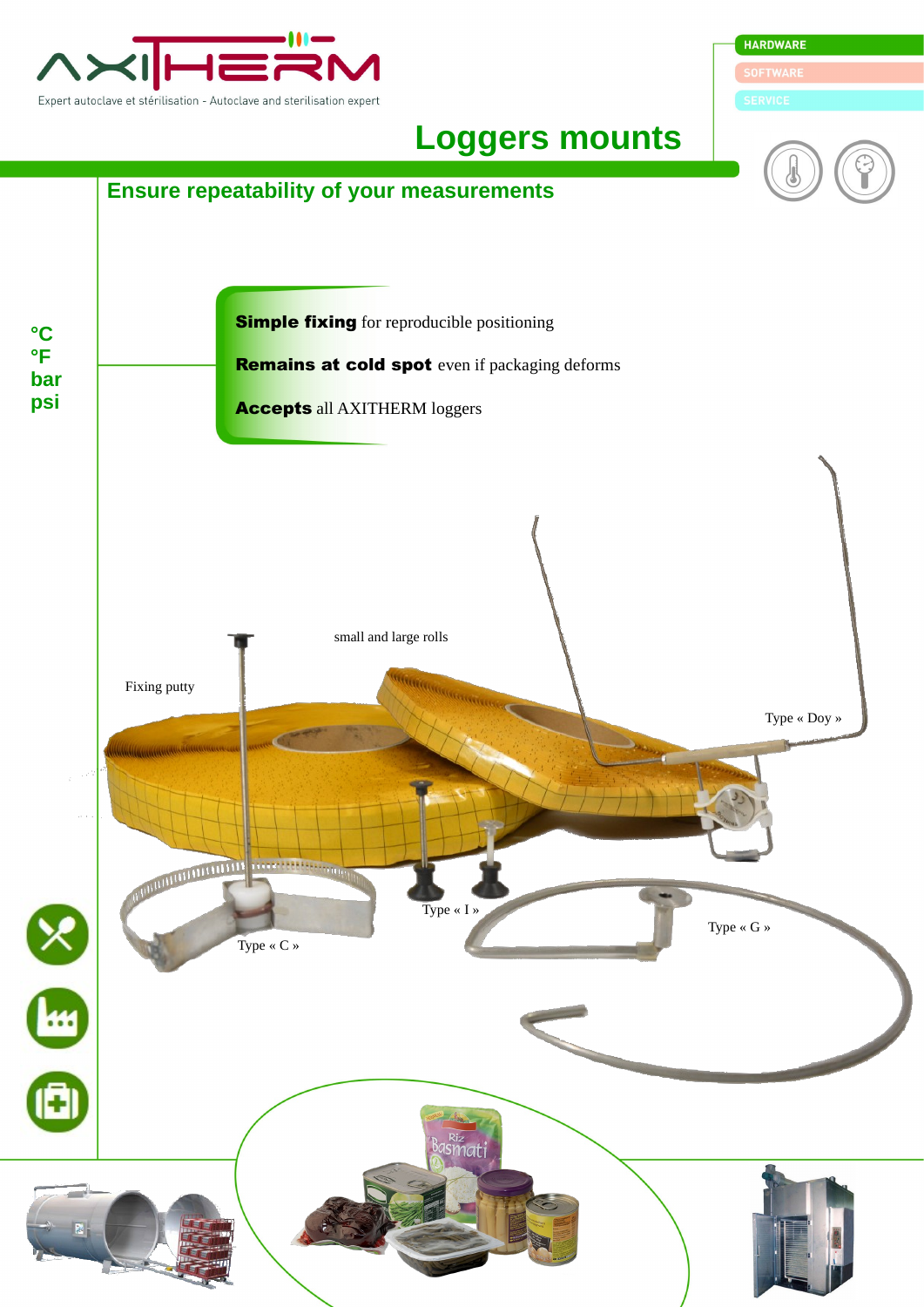

Expert autoclave et stérilisation - Autoclave and sterilisation expert

## **Loggers mounts**



**HARDWARE**